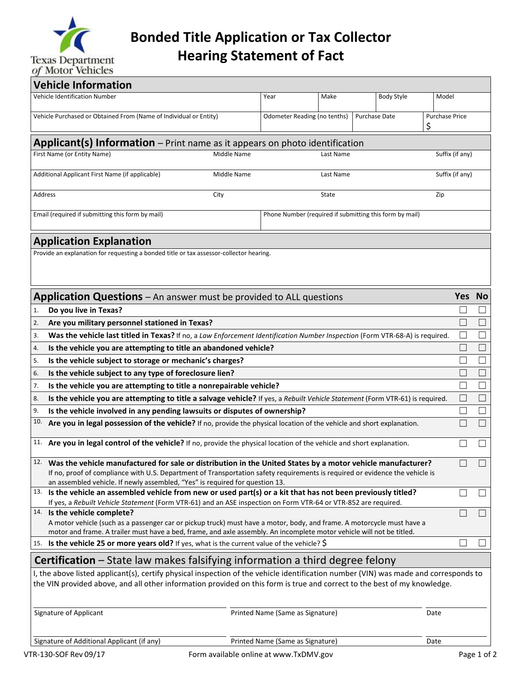

**Bonded Title Application or Tax Collector Hearing Statement of Fact**

| <b>Vehicle Information</b>                                                                                                                                                                                                                      |  |                                  |                                  |           |  |                   |       |                             |                          |
|-------------------------------------------------------------------------------------------------------------------------------------------------------------------------------------------------------------------------------------------------|--|----------------------------------|----------------------------------|-----------|--|-------------------|-------|-----------------------------|--------------------------|
| <b>Vehicle Identification Number</b>                                                                                                                                                                                                            |  |                                  | Year                             | Make      |  | <b>Body Style</b> | Model |                             |                          |
| Vehicle Purchased or Obtained From (Name of Individual or Entity)                                                                                                                                                                               |  |                                  | Odometer Reading (no tenths)     |           |  | Purchase Date     |       | <b>Purchase Price</b>       |                          |
|                                                                                                                                                                                                                                                 |  |                                  |                                  |           |  |                   | \$    |                             |                          |
| <b>Applicant(s) Information</b> – Print name as it appears on photo identification                                                                                                                                                              |  |                                  |                                  |           |  |                   |       |                             |                          |
| First Name (or Entity Name)                                                                                                                                                                                                                     |  | Middle Name                      |                                  | Last Name |  |                   |       | Suffix (if any)             |                          |
|                                                                                                                                                                                                                                                 |  |                                  |                                  |           |  |                   |       |                             |                          |
| Additional Applicant First Name (if applicable)                                                                                                                                                                                                 |  | Middle Name                      |                                  | Last Name |  |                   |       | Suffix (if any)             |                          |
| Address                                                                                                                                                                                                                                         |  | City                             |                                  | State     |  |                   | Zip   |                             |                          |
|                                                                                                                                                                                                                                                 |  |                                  |                                  |           |  |                   |       |                             |                          |
| Email (required if submitting this form by mail)<br>Phone Number (required if submitting this form by mail)                                                                                                                                     |  |                                  |                                  |           |  |                   |       |                             |                          |
| <b>Application Explanation</b>                                                                                                                                                                                                                  |  |                                  |                                  |           |  |                   |       |                             |                          |
| Provide an explanation for requesting a bonded title or tax assessor-collector hearing.                                                                                                                                                         |  |                                  |                                  |           |  |                   |       |                             |                          |
|                                                                                                                                                                                                                                                 |  |                                  |                                  |           |  |                   |       |                             |                          |
|                                                                                                                                                                                                                                                 |  |                                  |                                  |           |  |                   |       |                             |                          |
| <b>Application Questions</b> – An answer must be provided to ALL questions                                                                                                                                                                      |  |                                  |                                  |           |  |                   |       | Yes No                      |                          |
| Do you live in Texas?<br>1.                                                                                                                                                                                                                     |  |                                  |                                  |           |  |                   |       | $\Box$                      | $\Box$                   |
| 2.<br>Are you military personnel stationed in Texas?                                                                                                                                                                                            |  |                                  |                                  |           |  |                   |       | $\Box$                      | $\vert \ \ \vert$        |
| 3.<br>Was the vehicle last titled in Texas? If no, a Law Enforcement Identification Number Inspection (Form VTR-68-A) is required.                                                                                                              |  |                                  |                                  |           |  |                   |       | $\Box$                      | $\Box$                   |
| 4.                                                                                                                                                                                                                                              |  |                                  |                                  |           |  |                   |       | $\mathcal{L}_{\mathcal{A}}$ | $\vert \ \ \vert$        |
| Is the vehicle you are attempting to title an abandoned vehicle?<br>Is the vehicle subject to storage or mechanic's charges?<br>5.                                                                                                              |  |                                  |                                  |           |  |                   |       |                             |                          |
| 6.                                                                                                                                                                                                                                              |  |                                  |                                  |           |  |                   |       |                             | $\vert \ \ \vert$        |
| Is the vehicle subject to any type of foreclosure lien?<br>Is the vehicle you are attempting to title a nonrepairable vehicle?<br>7.                                                                                                            |  |                                  |                                  |           |  |                   |       |                             | $\Box$                   |
| 8.                                                                                                                                                                                                                                              |  |                                  |                                  |           |  |                   |       | $\overline{\phantom{a}}$    | $\Box$                   |
| Is the vehicle you are attempting to title a salvage vehicle? If yes, a Rebuilt Vehicle Statement (Form VTR-61) is required.<br>Is the vehicle involved in any pending lawsuits or disputes of ownership?<br>9.                                 |  |                                  |                                  |           |  |                   |       |                             | $\Box$                   |
| 10.<br>Are you in legal possession of the vehicle? If no, provide the physical location of the vehicle and short explanation.                                                                                                                   |  |                                  |                                  |           |  |                   |       |                             | П                        |
| 11. Are you in legal control of the vehicle? If no, provide the physical location of the vehicle and short explanation.                                                                                                                         |  |                                  |                                  |           |  |                   |       |                             |                          |
|                                                                                                                                                                                                                                                 |  |                                  |                                  |           |  |                   |       |                             | $\overline{\phantom{a}}$ |
| <sup>12.</sup> Was the vehicle manufactured for sale or distribution in the United States by a motor vehicle manufacturer?                                                                                                                      |  |                                  |                                  |           |  |                   |       |                             | $\Box$                   |
| If no, proof of compliance with U.S. Department of Transportation safety requirements is required or evidence the vehicle is                                                                                                                    |  |                                  |                                  |           |  |                   |       |                             |                          |
| an assembled vehicle. If newly assembled, "Yes" is required for question 13.<br><sup>13.</sup> Is the vehicle an assembled vehicle from new or used part(s) or a kit that has not been previously titled?                                       |  |                                  |                                  |           |  |                   |       |                             | $\Box$                   |
| If yes, a Rebuilt Vehicle Statement (Form VTR-61) and an ASE inspection on Form VTR-64 or VTR-852 are required.                                                                                                                                 |  |                                  |                                  |           |  |                   |       |                             |                          |
| 14. Is the vehicle complete?                                                                                                                                                                                                                    |  |                                  |                                  |           |  |                   |       |                             | $\Box$                   |
| A motor vehicle (such as a passenger car or pickup truck) must have a motor, body, and frame. A motorcycle must have a<br>motor and frame. A trailer must have a bed, frame, and axle assembly. An incomplete motor vehicle will not be titled. |  |                                  |                                  |           |  |                   |       |                             |                          |
| 15. Is the vehicle 25 or more years old? If yes, what is the current value of the vehicle? \$                                                                                                                                                   |  |                                  |                                  |           |  |                   |       |                             | $\Box$                   |
| <b>Certification</b> – State law makes falsifying information a third degree felony                                                                                                                                                             |  |                                  |                                  |           |  |                   |       |                             |                          |
| I, the above listed applicant(s), certify physical inspection of the vehicle identification number (VIN) was made and corresponds to                                                                                                            |  |                                  |                                  |           |  |                   |       |                             |                          |
| the VIN provided above, and all other information provided on this form is true and correct to the best of my knowledge.                                                                                                                        |  |                                  |                                  |           |  |                   |       |                             |                          |
|                                                                                                                                                                                                                                                 |  |                                  |                                  |           |  |                   |       |                             |                          |
| Signature of Applicant                                                                                                                                                                                                                          |  | Printed Name (Same as Signature) |                                  |           |  | Date              |       |                             |                          |
|                                                                                                                                                                                                                                                 |  |                                  |                                  |           |  |                   |       |                             |                          |
| Signature of Additional Applicant (if any)                                                                                                                                                                                                      |  |                                  | Printed Name (Same as Signature) |           |  |                   | Date  |                             |                          |
|                                                                                                                                                                                                                                                 |  |                                  |                                  |           |  |                   |       |                             |                          |